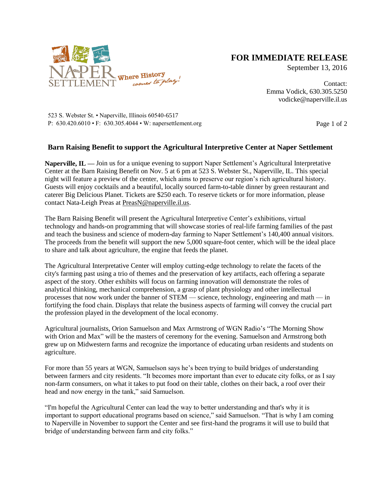

## **FOR IMMEDIATE RELEASE**

September 13, 2016

Contact: Emma Vodick, 630.305.5250 vodicke@naperville.il.us

523 S. Webster St. • Naperville, Illinois 60540-6517 P:  $630.420.6010 \cdot F$ :  $630.305.4044 \cdot W$ : napersettlement.org Page 1 of 2

## **Barn Raising Benefit to support the Agricultural Interpretive Center at Naper Settlement**

**Naperville, IL —** Join us for a unique evening to support Naper Settlement's Agricultural Interpretative Center at the Barn Raising Benefit on Nov. 5 at 6 pm at 523 S. Webster St., Naperville, IL. This special night will feature a preview of the center, which aims to preserve our region's rich agricultural history. Guests will enjoy cocktails and a beautiful, locally sourced farm-to-table dinner by green restaurant and caterer Big Delicious Planet. Tickets are \$250 each. To reserve tickets or for more information, please contact Nata-Leigh Preas at [PreasN@naperville.il.us.](mailto:PreasN@naperville.il.us)

The Barn Raising Benefit will present the Agricultural Interpretive Center's exhibitions, virtual technology and hands-on programming that will showcase stories of real-life farming families of the past and teach the business and science of modern-day farming to Naper Settlement's 140,400 annual visitors. The proceeds from the benefit will support the new 5,000 square-foot center, which will be the ideal place to share and talk about agriculture, the engine that feeds the planet.

The Agricultural Interpretative Center will employ cutting-edge technology to relate the facets of the city's farming past using a trio of themes and the preservation of key artifacts, each offering a separate aspect of the story. Other exhibits will focus on farming innovation will demonstrate the roles of analytical thinking, mechanical comprehension, a grasp of plant physiology and other intellectual processes that now work under the banner of STEM — science, technology, engineering and math — in fortifying the food chain. Displays that relate the business aspects of farming will convey the crucial part the profession played in the development of the local economy.

Agricultural journalists, Orion Samuelson and Max Armstrong of WGN Radio's "The Morning Show with Orion and Max" will be the masters of ceremony for the evening. Samuelson and Armstrong both grew up on Midwestern farms and recognize the importance of educating urban residents and students on agriculture.

For more than 55 years at WGN, Samuelson says he's been trying to build bridges of understanding between farmers and city residents. "It becomes more important than ever to educate city folks, or as I say non-farm consumers, on what it takes to put food on their table, clothes on their back, a roof over their head and now energy in the tank," said Samuelson.

"I'm hopeful the Agricultural Center can lead the way to better understanding and that's why it is important to support educational programs based on science," said Samuelson. "That is why I am coming to Naperville in November to support the Center and see first-hand the programs it will use to build that bridge of understanding between farm and city folks."